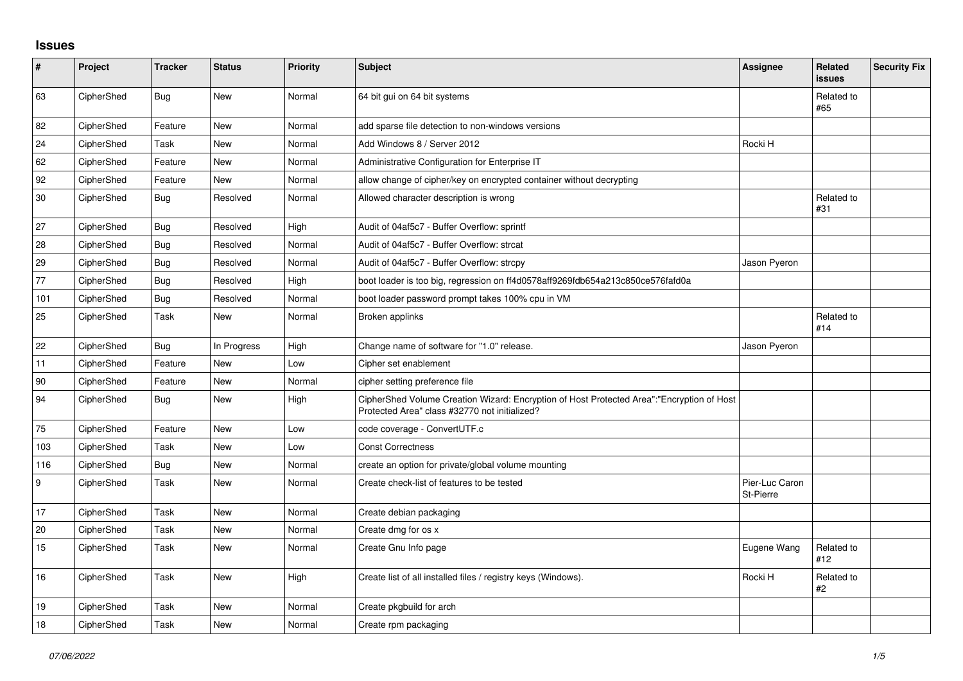## **Issues**

| #      | Project    | <b>Tracker</b> | <b>Status</b> | <b>Priority</b> | <b>Subject</b>                                                                                                                             | Assignee                    | <b>Related</b><br><b>issues</b> | <b>Security Fix</b> |
|--------|------------|----------------|---------------|-----------------|--------------------------------------------------------------------------------------------------------------------------------------------|-----------------------------|---------------------------------|---------------------|
| 63     | CipherShed | <b>Bug</b>     | New           | Normal          | 64 bit gui on 64 bit systems                                                                                                               |                             | Related to<br>#65               |                     |
| 82     | CipherShed | Feature        | <b>New</b>    | Normal          | add sparse file detection to non-windows versions                                                                                          |                             |                                 |                     |
| 24     | CipherShed | Task           | New           | Normal          | Add Windows 8 / Server 2012                                                                                                                | Rocki H                     |                                 |                     |
| 62     | CipherShed | Feature        | New           | Normal          | Administrative Configuration for Enterprise IT                                                                                             |                             |                                 |                     |
| 92     | CipherShed | Feature        | <b>New</b>    | Normal          | allow change of cipher/key on encrypted container without decrypting                                                                       |                             |                                 |                     |
| $30\,$ | CipherShed | <b>Bug</b>     | Resolved      | Normal          | Allowed character description is wrong                                                                                                     |                             | Related to<br>#31               |                     |
| 27     | CipherShed | <b>Bug</b>     | Resolved      | High            | Audit of 04af5c7 - Buffer Overflow: sprintf                                                                                                |                             |                                 |                     |
| 28     | CipherShed | <b>Bug</b>     | Resolved      | Normal          | Audit of 04af5c7 - Buffer Overflow: strcat                                                                                                 |                             |                                 |                     |
| 29     | CipherShed | Bug            | Resolved      | Normal          | Audit of 04af5c7 - Buffer Overflow: strcpy                                                                                                 | Jason Pyeron                |                                 |                     |
| 77     | CipherShed | <b>Bug</b>     | Resolved      | High            | boot loader is too big, regression on ff4d0578aff9269fdb654a213c850ce576fafd0a                                                             |                             |                                 |                     |
| 101    | CipherShed | <b>Bug</b>     | Resolved      | Normal          | boot loader password prompt takes 100% cpu in VM                                                                                           |                             |                                 |                     |
| 25     | CipherShed | Task           | <b>New</b>    | Normal          | Broken applinks                                                                                                                            |                             | Related to<br>#14               |                     |
| 22     | CipherShed | <b>Bug</b>     | In Progress   | High            | Change name of software for "1.0" release.                                                                                                 | Jason Pyeron                |                                 |                     |
| 11     | CipherShed | Feature        | New           | Low             | Cipher set enablement                                                                                                                      |                             |                                 |                     |
| 90     | CipherShed | Feature        | New           | Normal          | cipher setting preference file                                                                                                             |                             |                                 |                     |
| 94     | CipherShed | <b>Bug</b>     | New           | High            | CipherShed Volume Creation Wizard: Encryption of Host Protected Area":"Encryption of Host<br>Protected Area" class #32770 not initialized? |                             |                                 |                     |
| $75\,$ | CipherShed | Feature        | <b>New</b>    | Low             | code coverage - ConvertUTF.c                                                                                                               |                             |                                 |                     |
| 103    | CipherShed | Task           | New           | Low             | <b>Const Correctness</b>                                                                                                                   |                             |                                 |                     |
| 116    | CipherShed | <b>Bug</b>     | <b>New</b>    | Normal          | create an option for private/global volume mounting                                                                                        |                             |                                 |                     |
| 9      | CipherShed | Task           | New           | Normal          | Create check-list of features to be tested                                                                                                 | Pier-Luc Caron<br>St-Pierre |                                 |                     |
| 17     | CipherShed | Task           | New           | Normal          | Create debian packaging                                                                                                                    |                             |                                 |                     |
| 20     | CipherShed | Task           | New           | Normal          | Create dmg for os x                                                                                                                        |                             |                                 |                     |
| 15     | CipherShed | Task           | <b>New</b>    | Normal          | Create Gnu Info page                                                                                                                       | Eugene Wang                 | Related to<br>#12               |                     |
| 16     | CipherShed | Task           | <b>New</b>    | High            | Create list of all installed files / registry keys (Windows).                                                                              | Rocki H                     | Related to<br>#2                |                     |
| 19     | CipherShed | Task           | <b>New</b>    | Normal          | Create pkgbuild for arch                                                                                                                   |                             |                                 |                     |
| 18     | CipherShed | Task           | <b>New</b>    | Normal          | Create rpm packaging                                                                                                                       |                             |                                 |                     |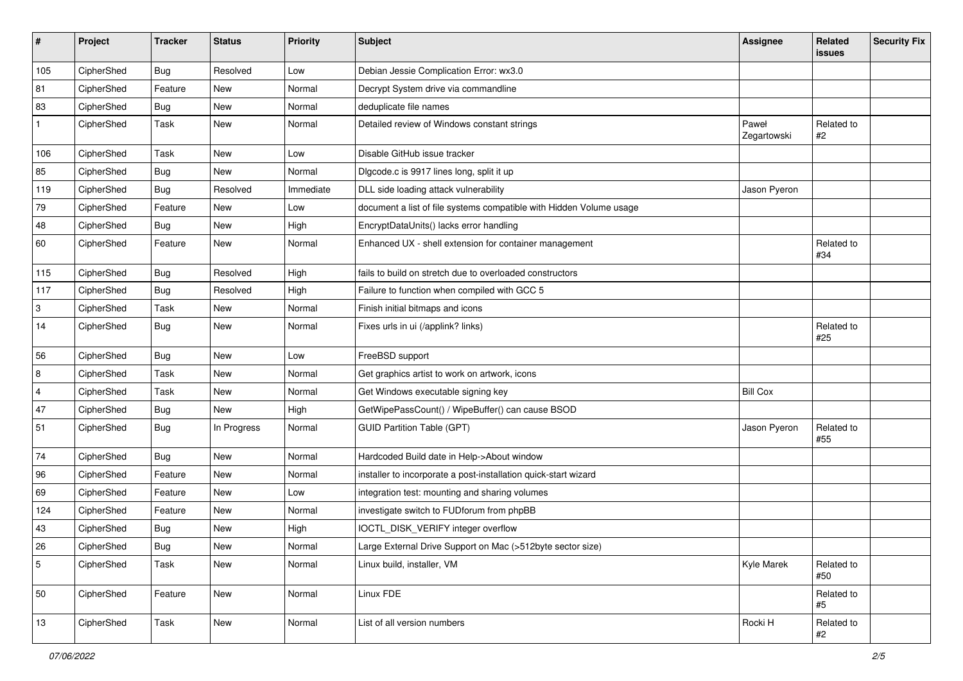| #              | Project    | <b>Tracker</b> | <b>Status</b> | <b>Priority</b> | <b>Subject</b>                                                      | <b>Assignee</b>      | Related<br>issues | <b>Security Fix</b> |
|----------------|------------|----------------|---------------|-----------------|---------------------------------------------------------------------|----------------------|-------------------|---------------------|
| 105            | CipherShed | Bug            | Resolved      | Low             | Debian Jessie Complication Error: wx3.0                             |                      |                   |                     |
| 81             | CipherShed | Feature        | New           | Normal          | Decrypt System drive via commandline                                |                      |                   |                     |
| 83             | CipherShed | <b>Bug</b>     | New           | Normal          | deduplicate file names                                              |                      |                   |                     |
| $\mathbf{1}$   | CipherShed | Task           | New           | Normal          | Detailed review of Windows constant strings                         | Paweł<br>Zegartowski | Related to<br>#2  |                     |
| 106            | CipherShed | Task           | <b>New</b>    | Low             | Disable GitHub issue tracker                                        |                      |                   |                     |
| 85             | CipherShed | <b>Bug</b>     | New           | Normal          | Digcode.c is 9917 lines long, split it up                           |                      |                   |                     |
| 119            | CipherShed | <b>Bug</b>     | Resolved      | Immediate       | DLL side loading attack vulnerability                               | Jason Pyeron         |                   |                     |
| 79             | CipherShed | Feature        | New           | Low             | document a list of file systems compatible with Hidden Volume usage |                      |                   |                     |
| 48             | CipherShed | <b>Bug</b>     | New           | High            | EncryptDataUnits() lacks error handling                             |                      |                   |                     |
| 60             | CipherShed | Feature        | New           | Normal          | Enhanced UX - shell extension for container management              |                      | Related to<br>#34 |                     |
| 115            | CipherShed | <b>Bug</b>     | Resolved      | High            | fails to build on stretch due to overloaded constructors            |                      |                   |                     |
| 117            | CipherShed | <b>Bug</b>     | Resolved      | High            | Failure to function when compiled with GCC 5                        |                      |                   |                     |
| 3              | CipherShed | Task           | New           | Normal          | Finish initial bitmaps and icons                                    |                      |                   |                     |
| 14             | CipherShed | <b>Bug</b>     | New           | Normal          | Fixes urls in ui (/applink? links)                                  |                      | Related to<br>#25 |                     |
| 56             | CipherShed | <b>Bug</b>     | New           | Low             | FreeBSD support                                                     |                      |                   |                     |
| 8              | CipherShed | Task           | New           | Normal          | Get graphics artist to work on artwork, icons                       |                      |                   |                     |
| $\overline{4}$ | CipherShed | Task           | New           | Normal          | Get Windows executable signing key                                  | <b>Bill Cox</b>      |                   |                     |
| 47             | CipherShed | <b>Bug</b>     | New           | High            | GetWipePassCount() / WipeBuffer() can cause BSOD                    |                      |                   |                     |
| 51             | CipherShed | <b>Bug</b>     | In Progress   | Normal          | <b>GUID Partition Table (GPT)</b>                                   | Jason Pyeron         | Related to<br>#55 |                     |
| 74             | CipherShed | Bug            | New           | Normal          | Hardcoded Build date in Help->About window                          |                      |                   |                     |
| 96             | CipherShed | Feature        | New           | Normal          | installer to incorporate a post-installation quick-start wizard     |                      |                   |                     |
| 69             | CipherShed | Feature        | New           | Low             | integration test: mounting and sharing volumes                      |                      |                   |                     |
| 124            | CipherShed | Feature        | <b>New</b>    | Normal          | investigate switch to FUDforum from phpBB                           |                      |                   |                     |
| 43             | CipherShed | Bug            | New           | High            | IOCTL_DISK_VERIFY integer overflow                                  |                      |                   |                     |
| 26             | CipherShed | Bug            | New           | Normal          | Large External Drive Support on Mac (>512byte sector size)          |                      |                   |                     |
| 5              | CipherShed | Task           | New           | Normal          | Linux build, installer, VM                                          | Kyle Marek           | Related to<br>#50 |                     |
| 50             | CipherShed | Feature        | New           | Normal          | Linux FDE                                                           |                      | Related to<br>#5  |                     |
| 13             | CipherShed | Task           | New           | Normal          | List of all version numbers                                         | Rocki H              | Related to<br>#2  |                     |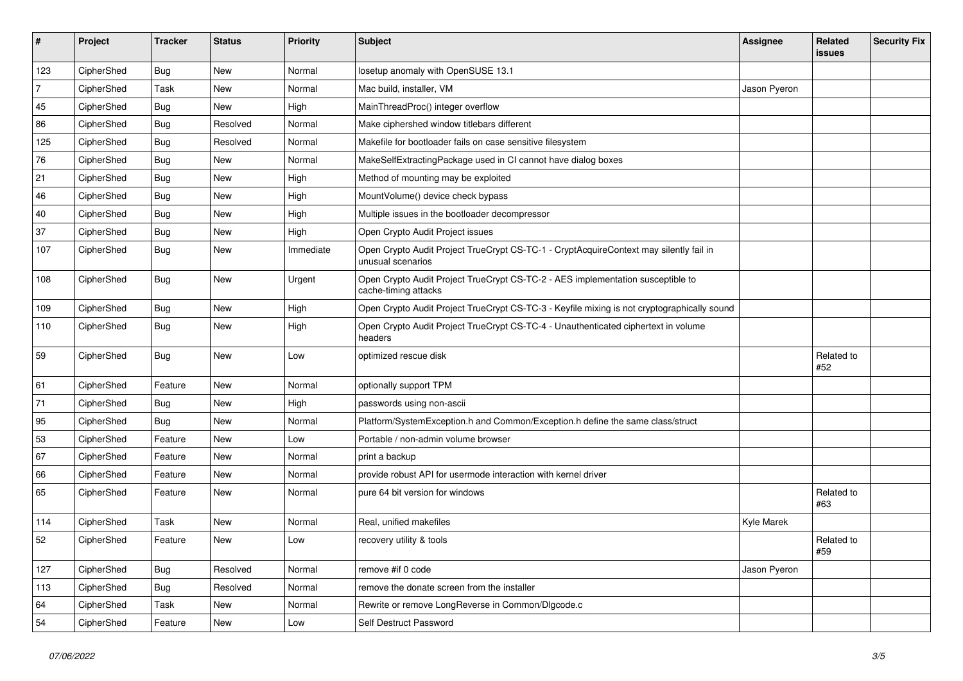| #              | Project    | <b>Tracker</b> | <b>Status</b> | <b>Priority</b> | <b>Subject</b>                                                                                              | <b>Assignee</b> | Related<br><b>issues</b> | <b>Security Fix</b> |
|----------------|------------|----------------|---------------|-----------------|-------------------------------------------------------------------------------------------------------------|-----------------|--------------------------|---------------------|
| 123            | CipherShed | Bug            | <b>New</b>    | Normal          | losetup anomaly with OpenSUSE 13.1                                                                          |                 |                          |                     |
| $\overline{7}$ | CipherShed | Task           | New           | Normal          | Mac build, installer, VM                                                                                    | Jason Pyeron    |                          |                     |
| 45             | CipherShed | <b>Bug</b>     | New           | High            | MainThreadProc() integer overflow                                                                           |                 |                          |                     |
| 86             | CipherShed | <b>Bug</b>     | Resolved      | Normal          | Make ciphershed window titlebars different                                                                  |                 |                          |                     |
| 125            | CipherShed | <b>Bug</b>     | Resolved      | Normal          | Makefile for bootloader fails on case sensitive filesystem                                                  |                 |                          |                     |
| 76             | CipherShed | <b>Bug</b>     | <b>New</b>    | Normal          | MakeSelfExtractingPackage used in CI cannot have dialog boxes                                               |                 |                          |                     |
| 21             | CipherShed | <b>Bug</b>     | New           | High            | Method of mounting may be exploited                                                                         |                 |                          |                     |
| 46             | CipherShed | Bug            | New           | High            | MountVolume() device check bypass                                                                           |                 |                          |                     |
| 40             | CipherShed | <b>Bug</b>     | New           | High            | Multiple issues in the bootloader decompressor                                                              |                 |                          |                     |
| 37             | CipherShed | <b>Bug</b>     | New           | High            | Open Crypto Audit Project issues                                                                            |                 |                          |                     |
| 107            | CipherShed | <b>Bug</b>     | New           | Immediate       | Open Crypto Audit Project TrueCrypt CS-TC-1 - CryptAcquireContext may silently fail in<br>unusual scenarios |                 |                          |                     |
| 108            | CipherShed | <b>Bug</b>     | New           | Urgent          | Open Crypto Audit Project TrueCrypt CS-TC-2 - AES implementation susceptible to<br>cache-timing attacks     |                 |                          |                     |
| 109            | CipherShed | <b>Bug</b>     | New           | High            | Open Crypto Audit Project TrueCrypt CS-TC-3 - Keyfile mixing is not cryptographically sound                 |                 |                          |                     |
| 110            | CipherShed | Bug            | New           | High            | Open Crypto Audit Project TrueCrypt CS-TC-4 - Unauthenticated ciphertext in volume<br>headers               |                 |                          |                     |
| 59             | CipherShed | Bug            | New           | Low             | optimized rescue disk                                                                                       |                 | Related to<br>#52        |                     |
| 61             | CipherShed | Feature        | New           | Normal          | optionally support TPM                                                                                      |                 |                          |                     |
| 71             | CipherShed | <b>Bug</b>     | New           | High            | passwords using non-ascii                                                                                   |                 |                          |                     |
| 95             | CipherShed | <b>Bug</b>     | <b>New</b>    | Normal          | Platform/SystemException.h and Common/Exception.h define the same class/struct                              |                 |                          |                     |
| 53             | CipherShed | Feature        | New           | Low             | Portable / non-admin volume browser                                                                         |                 |                          |                     |
| 67             | CipherShed | Feature        | New           | Normal          | print a backup                                                                                              |                 |                          |                     |
| 66             | CipherShed | Feature        | <b>New</b>    | Normal          | provide robust API for usermode interaction with kernel driver                                              |                 |                          |                     |
| 65             | CipherShed | Feature        | New           | Normal          | pure 64 bit version for windows                                                                             |                 | Related to<br>#63        |                     |
| 114            | CipherShed | Task           | New           | Normal          | Real, unified makefiles                                                                                     | Kyle Marek      |                          |                     |
| 52             | CipherShed | Feature        | New           | Low             | recovery utility & tools                                                                                    |                 | Related to<br>#59        |                     |
| 127            | CipherShed | <b>Bug</b>     | Resolved      | Normal          | remove #if 0 code                                                                                           | Jason Pyeron    |                          |                     |
| 113            | CipherShed | <b>Bug</b>     | Resolved      | Normal          | remove the donate screen from the installer                                                                 |                 |                          |                     |
| 64             | CipherShed | Task           | New           | Normal          | Rewrite or remove LongReverse in Common/Dlgcode.c                                                           |                 |                          |                     |
| 54             | CipherShed | Feature        | New           | Low             | Self Destruct Password                                                                                      |                 |                          |                     |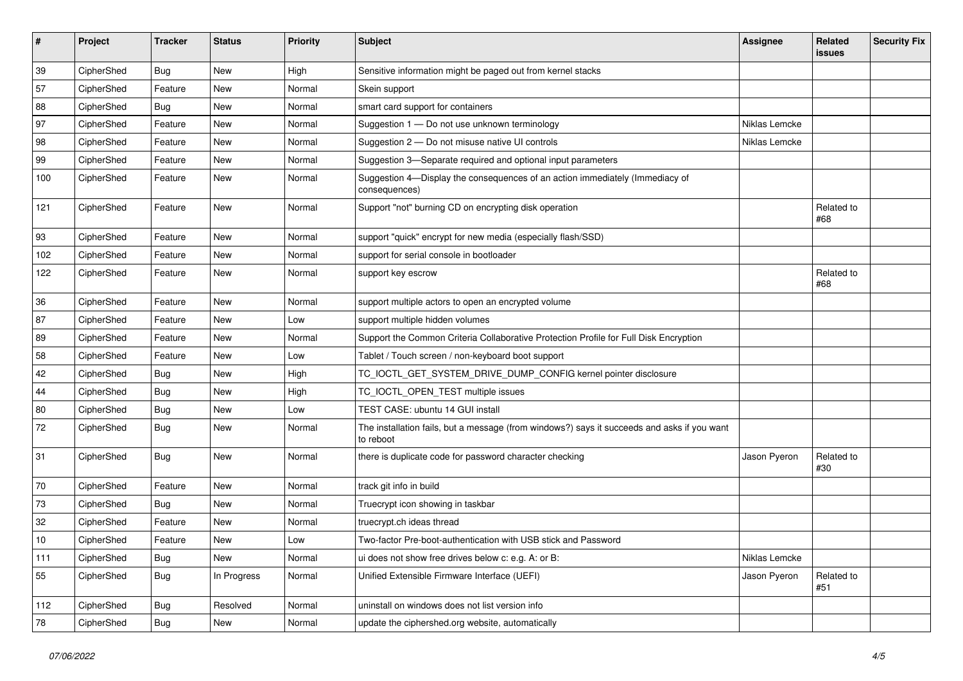| #   | Project    | <b>Tracker</b> | <b>Status</b> | Priority | <b>Subject</b>                                                                                           | <b>Assignee</b> | Related<br>issues | <b>Security Fix</b> |
|-----|------------|----------------|---------------|----------|----------------------------------------------------------------------------------------------------------|-----------------|-------------------|---------------------|
| 39  | CipherShed | <b>Bug</b>     | <b>New</b>    | High     | Sensitive information might be paged out from kernel stacks                                              |                 |                   |                     |
| 57  | CipherShed | Feature        | New           | Normal   | Skein support                                                                                            |                 |                   |                     |
| 88  | CipherShed | <b>Bug</b>     | New           | Normal   | smart card support for containers                                                                        |                 |                   |                     |
| 97  | CipherShed | Feature        | <b>New</b>    | Normal   | Suggestion 1 - Do not use unknown terminology                                                            | Niklas Lemcke   |                   |                     |
| 98  | CipherShed | Feature        | New           | Normal   | Suggestion 2 - Do not misuse native UI controls                                                          | Niklas Lemcke   |                   |                     |
| 99  | CipherShed | Feature        | New           | Normal   | Suggestion 3-Separate required and optional input parameters                                             |                 |                   |                     |
| 100 | CipherShed | Feature        | New           | Normal   | Suggestion 4-Display the consequences of an action immediately (Immediacy of<br>consequences)            |                 |                   |                     |
| 121 | CipherShed | Feature        | New           | Normal   | Support "not" burning CD on encrypting disk operation                                                    |                 | Related to<br>#68 |                     |
| 93  | CipherShed | Feature        | New           | Normal   | support "quick" encrypt for new media (especially flash/SSD)                                             |                 |                   |                     |
| 102 | CipherShed | Feature        | New           | Normal   | support for serial console in bootloader                                                                 |                 |                   |                     |
| 122 | CipherShed | Feature        | New           | Normal   | support key escrow                                                                                       |                 | Related to<br>#68 |                     |
| 36  | CipherShed | Feature        | New           | Normal   | support multiple actors to open an encrypted volume                                                      |                 |                   |                     |
| 87  | CipherShed | Feature        | New           | Low      | support multiple hidden volumes                                                                          |                 |                   |                     |
| 89  | CipherShed | Feature        | New           | Normal   | Support the Common Criteria Collaborative Protection Profile for Full Disk Encryption                    |                 |                   |                     |
| 58  | CipherShed | Feature        | New           | Low      | Tablet / Touch screen / non-keyboard boot support                                                        |                 |                   |                     |
| 42  | CipherShed | Bug            | New           | High     | TC_IOCTL_GET_SYSTEM_DRIVE_DUMP_CONFIG kernel pointer disclosure                                          |                 |                   |                     |
| 44  | CipherShed | <b>Bug</b>     | <b>New</b>    | High     | TC_IOCTL_OPEN_TEST multiple issues                                                                       |                 |                   |                     |
| 80  | CipherShed | Bug            | New           | Low      | TEST CASE: ubuntu 14 GUI install                                                                         |                 |                   |                     |
| 72  | CipherShed | Bug            | New           | Normal   | The installation fails, but a message (from windows?) says it succeeds and asks if you want<br>to reboot |                 |                   |                     |
| 31  | CipherShed | <b>Bug</b>     | New           | Normal   | there is duplicate code for password character checking                                                  | Jason Pyeron    | Related to<br>#30 |                     |
| 70  | CipherShed | Feature        | New           | Normal   | track git info in build                                                                                  |                 |                   |                     |
| 73  | CipherShed | Bug            | New           | Normal   | Truecrypt icon showing in taskbar                                                                        |                 |                   |                     |
| 32  | CipherShed | Feature        | <b>New</b>    | Normal   | truecrypt.ch ideas thread                                                                                |                 |                   |                     |
| 10  | CipherShed | Feature        | New           | Low      | Two-factor Pre-boot-authentication with USB stick and Password                                           |                 |                   |                     |
| 111 | CipherShed | <b>Bug</b>     | New           | Normal   | ui does not show free drives below c: e.g. A: or B:                                                      | Niklas Lemcke   |                   |                     |
| 55  | CipherShed | <b>Bug</b>     | In Progress   | Normal   | Unified Extensible Firmware Interface (UEFI)                                                             | Jason Pyeron    | Related to<br>#51 |                     |
| 112 | CipherShed | Bug            | Resolved      | Normal   | uninstall on windows does not list version info                                                          |                 |                   |                     |
| 78  | CipherShed | <b>Bug</b>     | New           | Normal   | update the ciphershed.org website, automatically                                                         |                 |                   |                     |